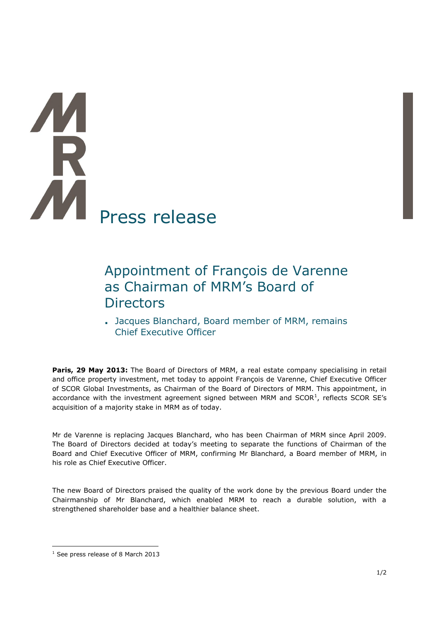# **A** Press release

# Appointment of François de Varenne as Chairman of MRM's Board of **Directors**

**.** Jacques Blanchard, Board member of MRM, remains Chief Executive Officer

**Paris, 29 May 2013:** The Board of Directors of MRM, a real estate company specialising in retail and office property investment, met today to appoint François de Varenne, Chief Executive Officer of SCOR Global Investments, as Chairman of the Board of Directors of MRM. This appointment, in accordance with the investment agreement signed between MRM and  $SCOR<sup>1</sup>$ , reflects SCOR SE's acquisition of a majority stake in MRM as of today.

Mr de Varenne is replacing Jacques Blanchard, who has been Chairman of MRM since April 2009. The Board of Directors decided at today's meeting to separate the functions of Chairman of the Board and Chief Executive Officer of MRM, confirming Mr Blanchard, a Board member of MRM, in his role as Chief Executive Officer.

The new Board of Directors praised the quality of the work done by the previous Board under the Chairmanship of Mr Blanchard, which enabled MRM to reach a durable solution, with a strengthened shareholder base and a healthier balance sheet.

 $\overline{a}$ 

<sup>&</sup>lt;sup>1</sup> See press release of 8 March 2013